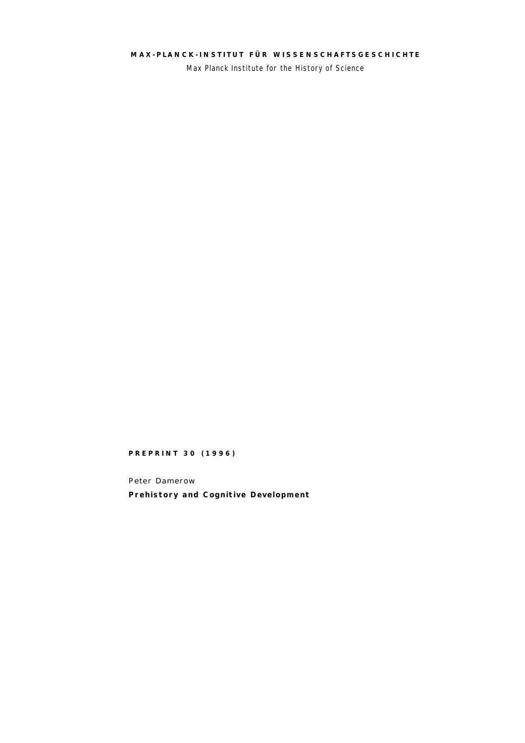# **MAX- PLANCK- INSTITUT FÜR WISSENSCHAFTSGESCH ICHTE**

Max Planck Institute for the History of Science

## **PREPRINT 30 (1996)**

Peter Damerow **Prehistory and Cognitive Development**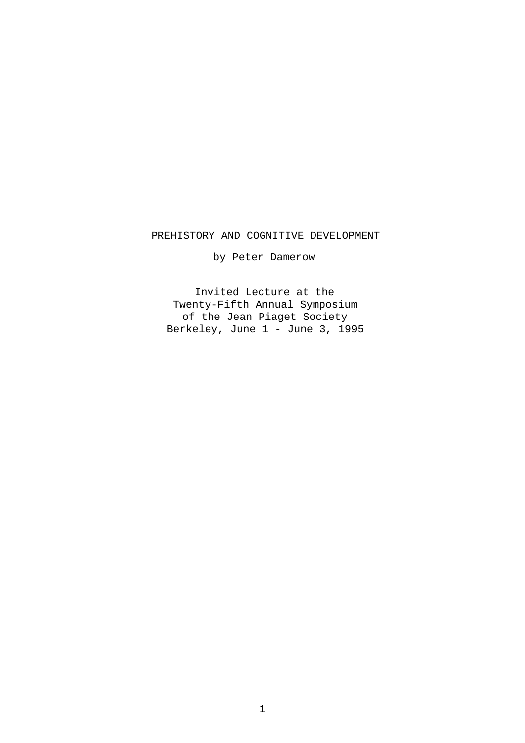## PREHISTORY AND COGNITIVE DEVELOPMENT

by Peter Damerow

Invited Lecture at the Twenty-Fifth Annual Symposium of the Jean Piaget Society Berkeley, June 1 - June 3, 1995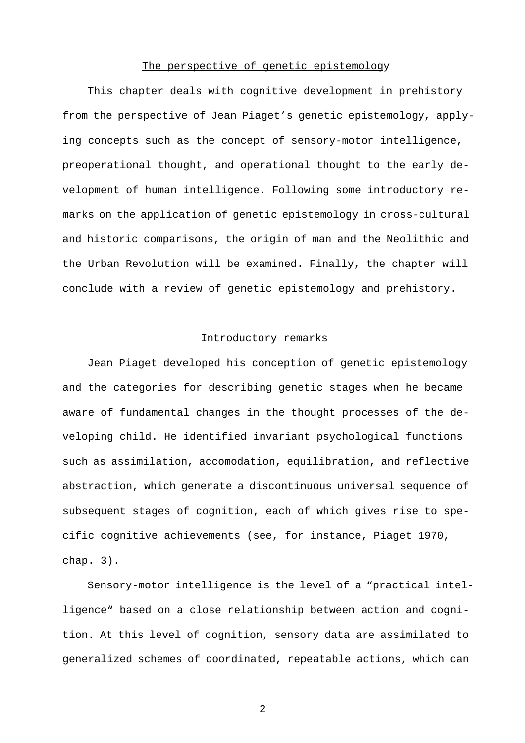### The perspective of genetic epistemology

This chapter deals with cognitive development in prehistory from the perspective of Jean Piaget's genetic epistemology, applying concepts such as the concept of sensory-motor intelligence, preoperational thought, and operational thought to the early development of human intelligence. Following some introductory remarks on the application of genetic epistemology in cross-cultural and historic comparisons, the origin of man and the Neolithic and the Urban Revolution will be examined. Finally, the chapter will conclude with a review of genetic epistemology and prehistory.

# Introductory remarks

Jean Piaget developed his conception of genetic epistemology and the categories for describing genetic stages when he became aware of fundamental changes in the thought processes of the developing child. He identified invariant psychological functions such as assimilation, accomodation, equilibration, and reflective abstraction, which generate a discontinuous universal sequence of subsequent stages of cognition, each of which gives rise to specific cognitive achievements (see, for instance, Piaget 1970, chap. 3).

Sensory-motor intelligence is the level of a "practical intelligence" based on a close relationship between action and cognition. At this level of cognition, sensory data are assimilated to generalized schemes of coordinated, repeatable actions, which can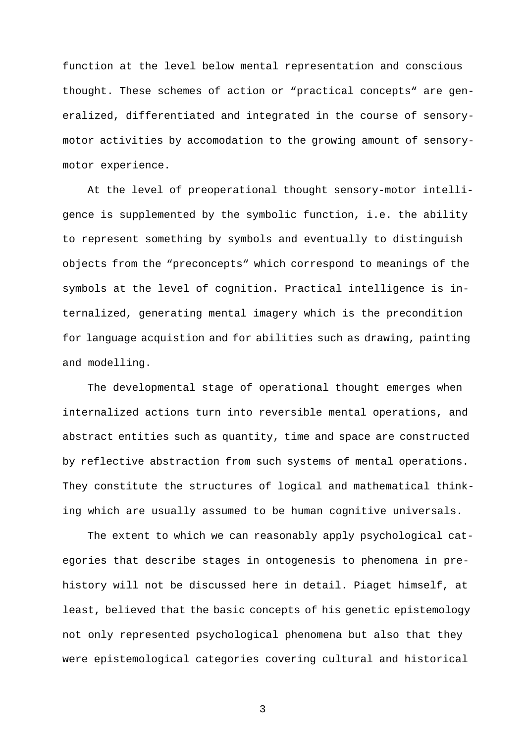function at the level below mental representation and conscious thought. These schemes of action or "practical concepts" are generalized, differentiated and integrated in the course of sensorymotor activities by accomodation to the growing amount of sensorymotor experience.

At the level of preoperational thought sensory-motor intelligence is supplemented by the symbolic function, i.e. the ability to represent something by symbols and eventually to distinguish objects from the "preconcepts" which correspond to meanings of the symbols at the level of cognition. Practical intelligence is internalized, generating mental imagery which is the precondition for language acquistion and for abilities such as drawing, painting and modelling.

The developmental stage of operational thought emerges when internalized actions turn into reversible mental operations, and abstract entities such as quantity, time and space are constructed by reflective abstraction from such systems of mental operations. They constitute the structures of logical and mathematical thinking which are usually assumed to be human cognitive universals.

The extent to which we can reasonably apply psychological categories that describe stages in ontogenesis to phenomena in prehistory will not be discussed here in detail. Piaget himself, at least, believed that the basic concepts of his genetic epistemology not only represented psychological phenomena but also that they were epistemological categories covering cultural and historical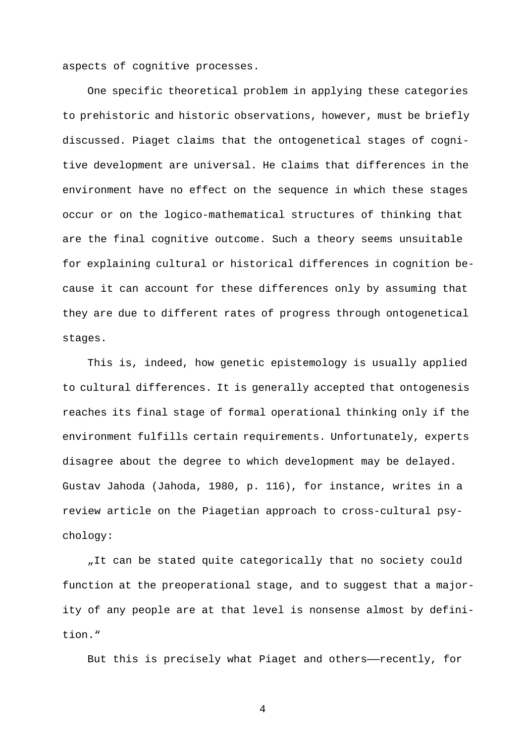aspects of cognitive processes.

One specific theoretical problem in applying these categories to prehistoric and historic observations, however, must be briefly discussed. Piaget claims that the ontogenetical stages of cognitive development are universal. He claims that differences in the environment have no effect on the sequence in which these stages occur or on the logico-mathematical structures of thinking that are the final cognitive outcome. Such a theory seems unsuitable for explaining cultural or historical differences in cognition because it can account for these differences only by assuming that they are due to different rates of progress through ontogenetical stages.

This is, indeed, how genetic epistemology is usually applied to cultural differences. It is generally accepted that ontogenesis reaches its final stage of formal operational thinking only if the environment fulfills certain requirements. Unfortunately, experts disagree about the degree to which development may be delayed. Gustav Jahoda (Jahoda, 1980, p. 116), for instance, writes in a review article on the Piagetian approach to cross-cultural psychology:

"It can be stated quite categorically that no society could function at the preoperational stage, and to suggest that a majority of any people are at that level is nonsense almost by definition."

But this is precisely what Piaget and others——recently, for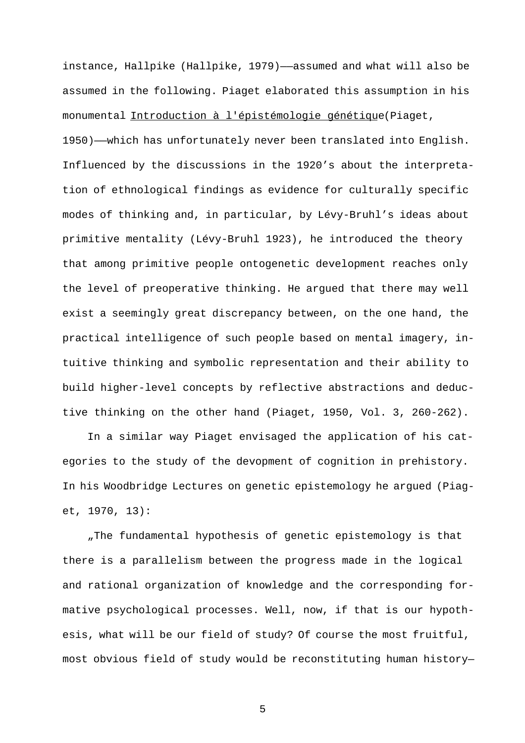instance, Hallpike (Hallpike, 1979)——assumed and what will also be assumed in the following. Piaget elaborated this assumption in his monumental Introduction à l'épistémologie génétique (Piaget,

1950)——which has unfortunately never been translated into English. Influenced by the discussions in the 1920's about the interpretation of ethnological findings as evidence for culturally specific modes of thinking and, in particular, by Lévy-Bruhl's ideas about primitive mentality (Lévy-Bruhl 1923), he introduced the theory that among primitive people ontogenetic development reaches only the level of preoperative thinking. He argued that there may well exist a seemingly great discrepancy between, on the one hand, the practical intelligence of such people based on mental imagery, intuitive thinking and symbolic representation and their ability to build higher-level concepts by reflective abstractions and deductive thinking on the other hand (Piaget, 1950, Vol. 3, 260-262).

In a similar way Piaget envisaged the application of his categories to the study of the devopment of cognition in prehistory. In his Woodbridge Lectures on genetic epistemology he argued (Piaget, 1970, 13):

"The fundamental hypothesis of genetic epistemology is that there is a parallelism between the progress made in the logical and rational organization of knowledge and the corresponding formative psychological processes. Well, now, if that is our hypothesis, what will be our field of study? Of course the most fruitful, most obvious field of study would be reconstituting human history—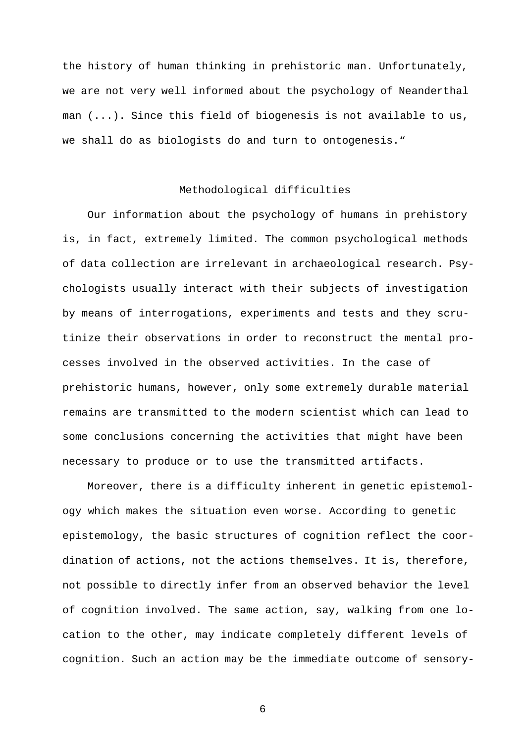the history of human thinking in prehistoric man. Unfortunately, we are not very well informed about the psychology of Neanderthal man  $( \ldots )$ . Since this field of biogenesis is not available to us, we shall do as biologists do and turn to ontogenesis."

### Methodological difficulties

Our information about the psychology of humans in prehistory is, in fact, extremely limited. The common psychological methods of data collection are irrelevant in archaeological research. Psychologists usually interact with their subjects of investigation by means of interrogations, experiments and tests and they scrutinize their observations in order to reconstruct the mental processes involved in the observed activities. In the case of prehistoric humans, however, only some extremely durable material remains are transmitted to the modern scientist which can lead to some conclusions concerning the activities that might have been necessary to produce or to use the transmitted artifacts.

Moreover, there is a difficulty inherent in genetic epistemology which makes the situation even worse. According to genetic epistemology, the basic structures of cognition reflect the coordination of actions, not the actions themselves. It is, therefore, not possible to directly infer from an observed behavior the level of cognition involved. The same action, say, walking from one location to the other, may indicate completely different levels of cognition. Such an action may be the immediate outcome of sensory-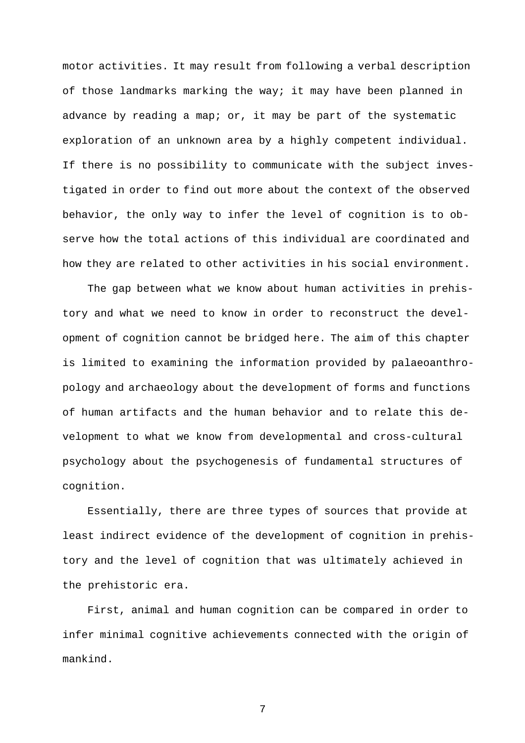motor activities. It may result from following a verbal description of those landmarks marking the way; it may have been planned in advance by reading a map; or, it may be part of the systematic exploration of an unknown area by a highly competent individual. If there is no possibility to communicate with the subject investigated in order to find out more about the context of the observed behavior, the only way to infer the level of cognition is to observe how the total actions of this individual are coordinated and how they are related to other activities in his social environment.

The gap between what we know about human activities in prehistory and what we need to know in order to reconstruct the development of cognition cannot be bridged here. The aim of this chapter is limited to examining the information provided by palaeoanthropology and archaeology about the development of forms and functions of human artifacts and the human behavior and to relate this development to what we know from developmental and cross-cultural psychology about the psychogenesis of fundamental structures of cognition.

Essentially, there are three types of sources that provide at least indirect evidence of the development of cognition in prehistory and the level of cognition that was ultimately achieved in the prehistoric era.

First, animal and human cognition can be compared in order to infer minimal cognitive achievements connected with the origin of mankind.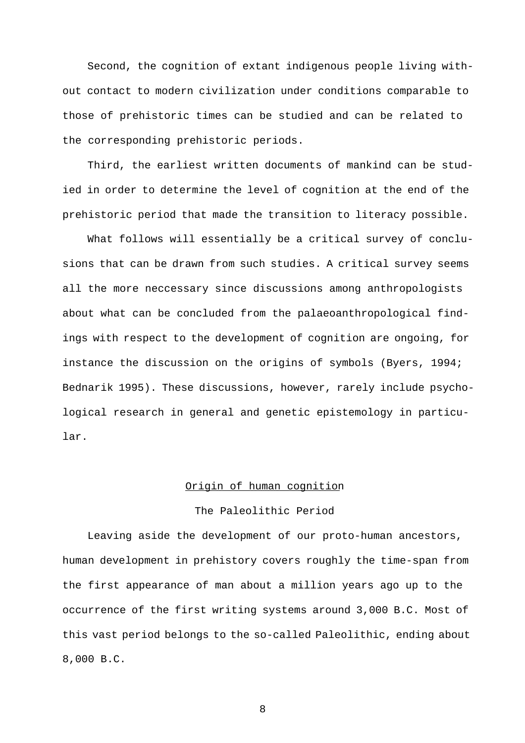Second, the cognition of extant indigenous people living without contact to modern civilization under conditions comparable to those of prehistoric times can be studied and can be related to the corresponding prehistoric periods.

Third, the earliest written documents of mankind can be studied in order to determine the level of cognition at the end of the prehistoric period that made the transition to literacy possible.

What follows will essentially be a critical survey of conclusions that can be drawn from such studies. A critical survey seems all the more neccessary since discussions among anthropologists about what can be concluded from the palaeoanthropological findings with respect to the development of cognition are ongoing, for instance the discussion on the origins of symbols (Byers, 1994; Bednarik 1995). These discussions, however, rarely include psychological research in general and genetic epistemology in particular.

### Origin of human cognition

#### The Paleolithic Period

Leaving aside the development of our proto-human ancestors, human development in prehistory covers roughly the time-span from the first appearance of man about a million years ago up to the occurrence of the first writing systems around 3,000 B.C. Most of this vast period belongs to the so-called Paleolithic, ending about 8,000 B.C.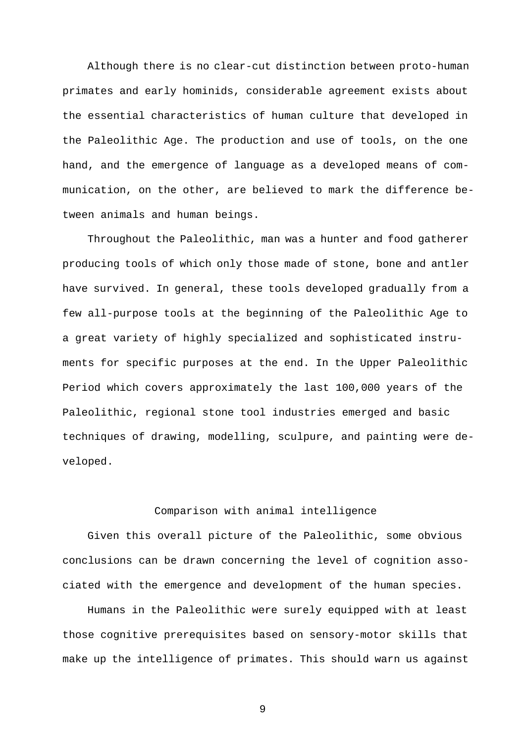Although there is no clear-cut distinction between proto-human primates and early hominids, considerable agreement exists about the essential characteristics of human culture that developed in the Paleolithic Age. The production and use of tools, on the one hand, and the emergence of language as a developed means of communication, on the other, are believed to mark the difference between animals and human beings.

Throughout the Paleolithic, man was a hunter and food gatherer producing tools of which only those made of stone, bone and antler have survived. In general, these tools developed gradually from a few all-purpose tools at the beginning of the Paleolithic Age to a great variety of highly specialized and sophisticated instruments for specific purposes at the end. In the Upper Paleolithic Period which covers approximately the last 100,000 years of the Paleolithic, regional stone tool industries emerged and basic techniques of drawing, modelling, sculpure, and painting were developed.

#### Comparison with animal intelligence

Given this overall picture of the Paleolithic, some obvious conclusions can be drawn concerning the level of cognition associated with the emergence and development of the human species.

Humans in the Paleolithic were surely equipped with at least those cognitive prerequisites based on sensory-motor skills that make up the intelligence of primates. This should warn us against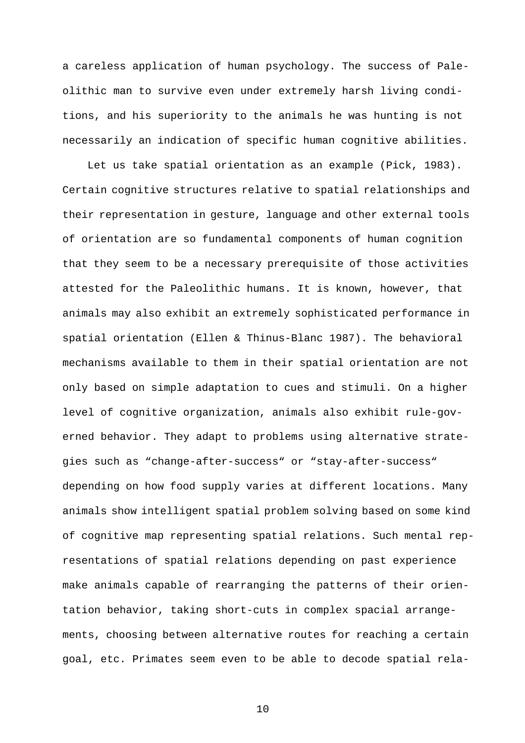a careless application of human psychology. The success of Paleolithic man to survive even under extremely harsh living conditions, and his superiority to the animals he was hunting is not necessarily an indication of specific human cognitive abilities.

Let us take spatial orientation as an example (Pick, 1983). Certain cognitive structures relative to spatial relationships and their representation in gesture, language and other external tools of orientation are so fundamental components of human cognition that they seem to be a necessary prerequisite of those activities attested for the Paleolithic humans. It is known, however, that animals may also exhibit an extremely sophisticated performance in spatial orientation (Ellen & Thinus-Blanc 1987). The behavioral mechanisms available to them in their spatial orientation are not only based on simple adaptation to cues and stimuli. On a higher level of cognitive organization, animals also exhibit rule-governed behavior. They adapt to problems using alternative strategies such as "change-after-success" or "stay-after-success" depending on how food supply varies at different locations. Many animals show intelligent spatial problem solving based on some kind of cognitive map representing spatial relations. Such mental representations of spatial relations depending on past experience make animals capable of rearranging the patterns of their orientation behavior, taking short-cuts in complex spacial arrangements, choosing between alternative routes for reaching a certain goal, etc. Primates seem even to be able to decode spatial rela-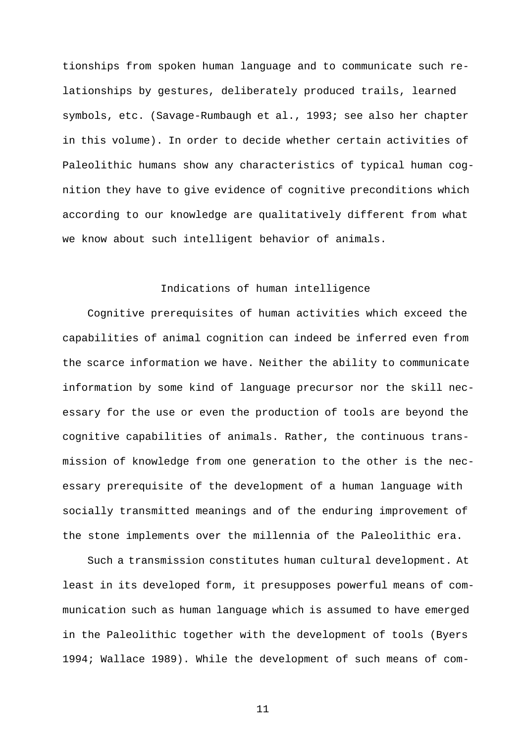tionships from spoken human language and to communicate such relationships by gestures, deliberately produced trails, learned symbols, etc. (Savage-Rumbaugh et al., 1993; see also her chapter in this volume). In order to decide whether certain activities of Paleolithic humans show any characteristics of typical human cognition they have to give evidence of cognitive preconditions which according to our knowledge are qualitatively different from what we know about such intelligent behavior of animals.

# Indications of human intelligence

Cognitive prerequisites of human activities which exceed the capabilities of animal cognition can indeed be inferred even from the scarce information we have. Neither the ability to communicate information by some kind of language precursor nor the skill necessary for the use or even the production of tools are beyond the cognitive capabilities of animals. Rather, the continuous transmission of knowledge from one generation to the other is the necessary prerequisite of the development of a human language with socially transmitted meanings and of the enduring improvement of the stone implements over the millennia of the Paleolithic era.

Such a transmission constitutes human cultural development. At least in its developed form, it presupposes powerful means of communication such as human language which is assumed to have emerged in the Paleolithic together with the development of tools (Byers 1994; Wallace 1989). While the development of such means of com-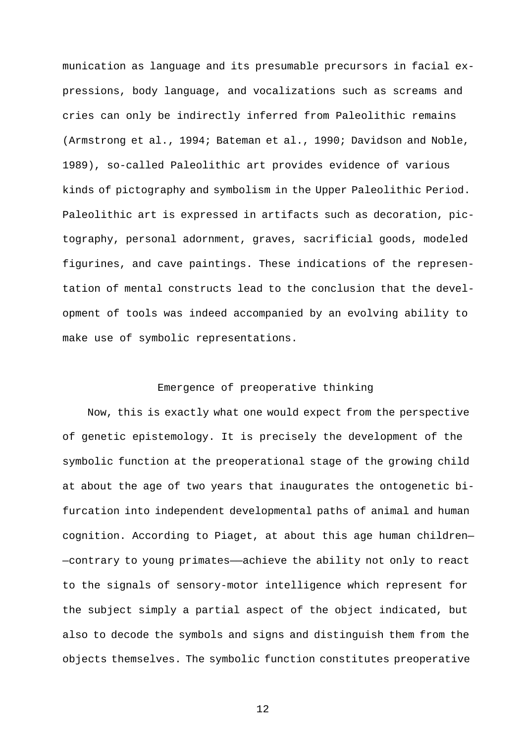munication as language and its presumable precursors in facial expressions, body language, and vocalizations such as screams and cries can only be indirectly inferred from Paleolithic remains (Armstrong et al., 1994; Bateman et al., 1990; Davidson and Noble, 1989), so-called Paleolithic art provides evidence of various kinds of pictography and symbolism in the Upper Paleolithic Period. Paleolithic art is expressed in artifacts such as decoration, pictography, personal adornment, graves, sacrificial goods, modeled figurines, and cave paintings. These indications of the representation of mental constructs lead to the conclusion that the development of tools was indeed accompanied by an evolving ability to make use of symbolic representations.

### Emergence of preoperative thinking

Now, this is exactly what one would expect from the perspective of genetic epistemology. It is precisely the development of the symbolic function at the preoperational stage of the growing child at about the age of two years that inaugurates the ontogenetic bifurcation into independent developmental paths of animal and human cognition. According to Piaget, at about this age human children— —contrary to young primates——achieve the ability not only to react to the signals of sensory-motor intelligence which represent for the subject simply a partial aspect of the object indicated, but also to decode the symbols and signs and distinguish them from the objects themselves. The symbolic function constitutes preoperative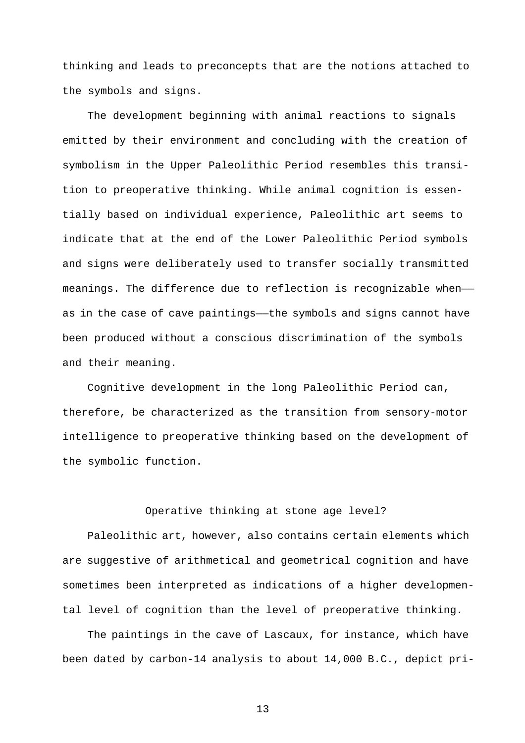thinking and leads to preconcepts that are the notions attached to the symbols and signs.

The development beginning with animal reactions to signals emitted by their environment and concluding with the creation of symbolism in the Upper Paleolithic Period resembles this transition to preoperative thinking. While animal cognition is essentially based on individual experience, Paleolithic art seems to indicate that at the end of the Lower Paleolithic Period symbols and signs were deliberately used to transfer socially transmitted meanings. The difference due to reflection is recognizable when— as in the case of cave paintings——the symbols and signs cannot have been produced without a conscious discrimination of the symbols and their meaning.

Cognitive development in the long Paleolithic Period can, therefore, be characterized as the transition from sensory-motor intelligence to preoperative thinking based on the development of the symbolic function.

#### Operative thinking at stone age level?

Paleolithic art, however, also contains certain elements which are suggestive of arithmetical and geometrical cognition and have sometimes been interpreted as indications of a higher developmental level of cognition than the level of preoperative thinking.

The paintings in the cave of Lascaux, for instance, which have been dated by carbon-14 analysis to about 14,000 B.C., depict pri-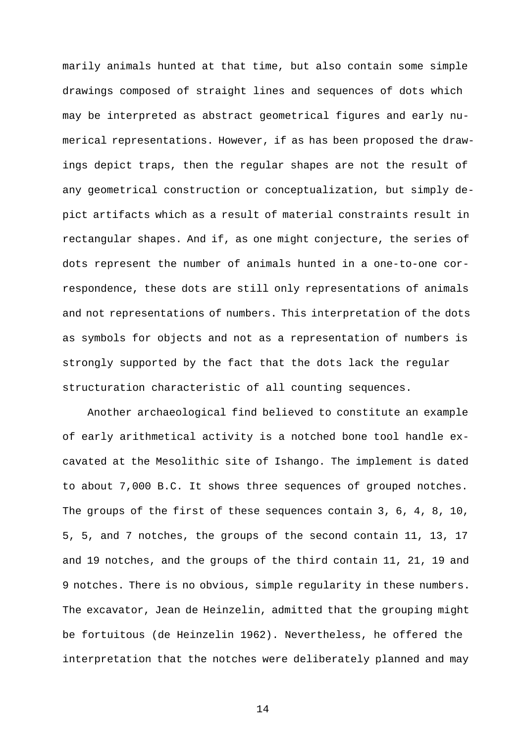marily animals hunted at that time, but also contain some simple drawings composed of straight lines and sequences of dots which may be interpreted as abstract geometrical figures and early numerical representations. However, if as has been proposed the drawings depict traps, then the regular shapes are not the result of any geometrical construction or conceptualization, but simply depict artifacts which as a result of material constraints result in rectangular shapes. And if, as one might conjecture, the series of dots represent the number of animals hunted in a one-to-one correspondence, these dots are still only representations of animals and not representations of numbers. This interpretation of the dots as symbols for objects and not as a representation of numbers is strongly supported by the fact that the dots lack the regular structuration characteristic of all counting sequences.

Another archaeological find believed to constitute an example of early arithmetical activity is a notched bone tool handle excavated at the Mesolithic site of Ishango. The implement is dated to about 7,000 B.C. It shows three sequences of grouped notches. The groups of the first of these sequences contain 3, 6, 4, 8, 10, 5, 5, and 7 notches, the groups of the second contain 11, 13, 17 and 19 notches, and the groups of the third contain 11, 21, 19 and 9 notches. There is no obvious, simple regularity in these numbers. The excavator, Jean de Heinzelin, admitted that the grouping might be fortuitous (de Heinzelin 1962). Nevertheless, he offered the interpretation that the notches were deliberately planned and may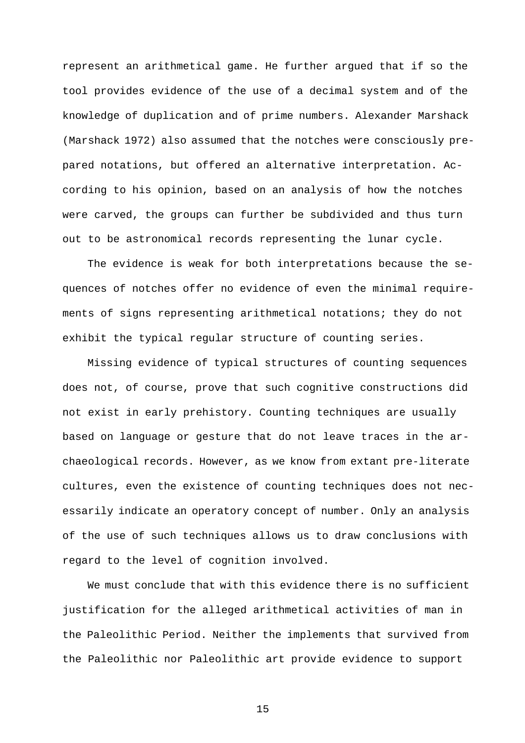represent an arithmetical game. He further argued that if so the tool provides evidence of the use of a decimal system and of the knowledge of duplication and of prime numbers. Alexander Marshack (Marshack 1972) also assumed that the notches were consciously prepared notations, but offered an alternative interpretation. According to his opinion, based on an analysis of how the notches were carved, the groups can further be subdivided and thus turn out to be astronomical records representing the lunar cycle.

The evidence is weak for both interpretations because the sequences of notches offer no evidence of even the minimal requirements of signs representing arithmetical notations; they do not exhibit the typical regular structure of counting series.

Missing evidence of typical structures of counting sequences does not, of course, prove that such cognitive constructions did not exist in early prehistory. Counting techniques are usually based on language or gesture that do not leave traces in the archaeological records. However, as we know from extant pre-literate cultures, even the existence of counting techniques does not necessarily indicate an operatory concept of number. Only an analysis of the use of such techniques allows us to draw conclusions with regard to the level of cognition involved.

We must conclude that with this evidence there is no sufficient justification for the alleged arithmetical activities of man in the Paleolithic Period. Neither the implements that survived from the Paleolithic nor Paleolithic art provide evidence to support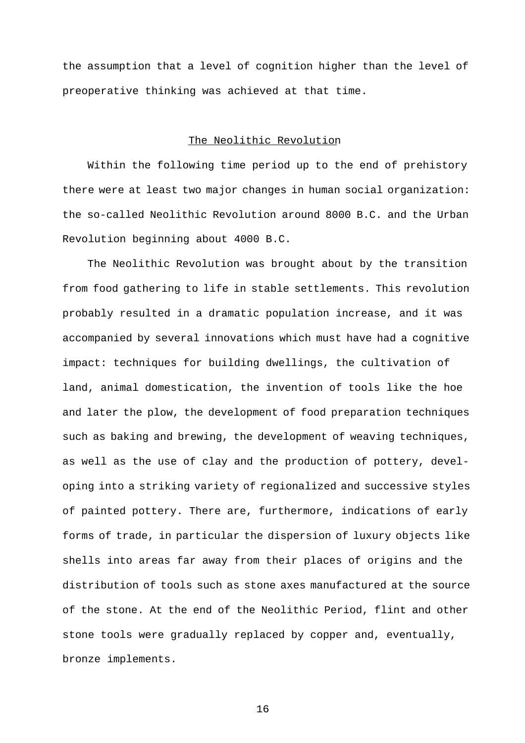the assumption that a level of cognition higher than the level of preoperative thinking was achieved at that time.

### The Neolithic Revolution

Within the following time period up to the end of prehistory there were at least two major changes in human social organization: the so-called Neolithic Revolution around 8000 B.C. and the Urban Revolution beginning about 4000 B.C.

The Neolithic Revolution was brought about by the transition from food gathering to life in stable settlements. This revolution probably resulted in a dramatic population increase, and it was accompanied by several innovations which must have had a cognitive impact: techniques for building dwellings, the cultivation of land, animal domestication, the invention of tools like the hoe and later the plow, the development of food preparation techniques such as baking and brewing, the development of weaving techniques, as well as the use of clay and the production of pottery, developing into a striking variety of regionalized and successive styles of painted pottery. There are, furthermore, indications of early forms of trade, in particular the dispersion of luxury objects like shells into areas far away from their places of origins and the distribution of tools such as stone axes manufactured at the source of the stone. At the end of the Neolithic Period, flint and other stone tools were gradually replaced by copper and, eventually, bronze implements.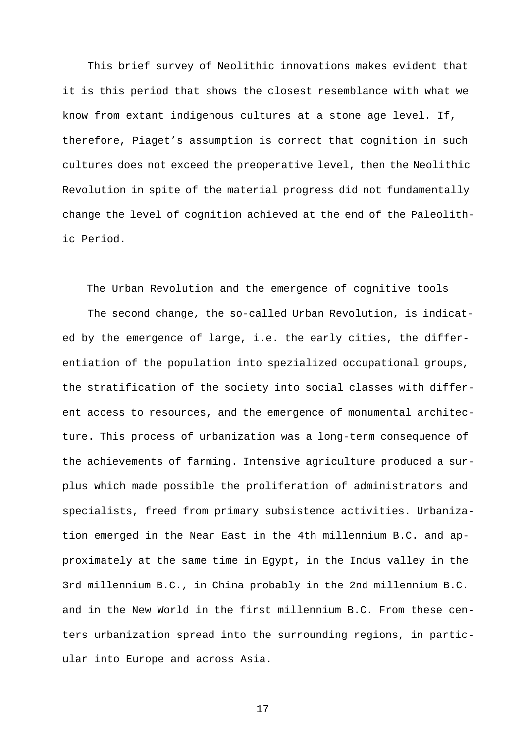This brief survey of Neolithic innovations makes evident that it is this period that shows the closest resemblance with what we know from extant indigenous cultures at a stone age level. If, therefore, Piaget's assumption is correct that cognition in such cultures does not exceed the preoperative level, then the Neolithic Revolution in spite of the material progress did not fundamentally change the level of cognition achieved at the end of the Paleolithic Period.

#### The Urban Revolution and the emergence of cognitive tools

The second change, the so-called Urban Revolution, is indicated by the emergence of large, i.e. the early cities, the differentiation of the population into spezialized occupational groups, the stratification of the society into social classes with different access to resources, and the emergence of monumental architecture. This process of urbanization was a long-term consequence of the achievements of farming. Intensive agriculture produced a surplus which made possible the proliferation of administrators and specialists, freed from primary subsistence activities. Urbanization emerged in the Near East in the 4th millennium B.C. and approximately at the same time in Egypt, in the Indus valley in the 3rd millennium B.C., in China probably in the 2nd millennium B.C. and in the New World in the first millennium B.C. From these centers urbanization spread into the surrounding regions, in particular into Europe and across Asia.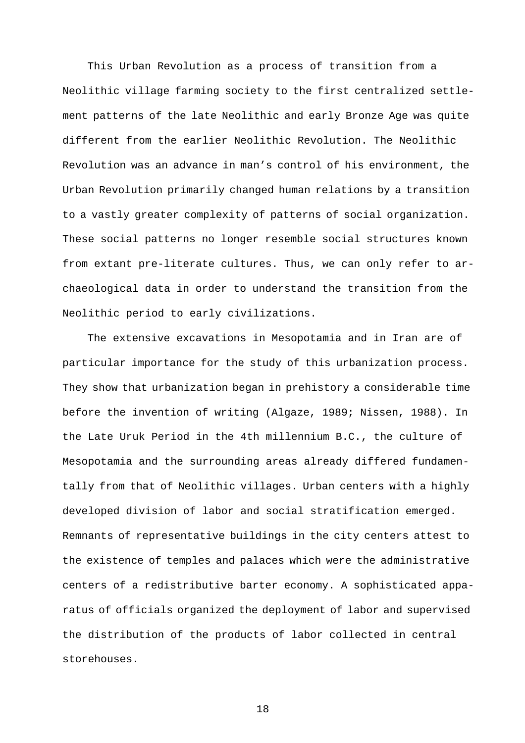This Urban Revolution as a process of transition from a Neolithic village farming society to the first centralized settlement patterns of the late Neolithic and early Bronze Age was quite different from the earlier Neolithic Revolution. The Neolithic Revolution was an advance in man's control of his environment, the Urban Revolution primarily changed human relations by a transition to a vastly greater complexity of patterns of social organization. These social patterns no longer resemble social structures known from extant pre-literate cultures. Thus, we can only refer to archaeological data in order to understand the transition from the Neolithic period to early civilizations.

The extensive excavations in Mesopotamia and in Iran are of particular importance for the study of this urbanization process. They show that urbanization began in prehistory a considerable time before the invention of writing (Algaze, 1989; Nissen, 1988). In the Late Uruk Period in the 4th millennium B.C., the culture of Mesopotamia and the surrounding areas already differed fundamentally from that of Neolithic villages. Urban centers with a highly developed division of labor and social stratification emerged. Remnants of representative buildings in the city centers attest to the existence of temples and palaces which were the administrative centers of a redistributive barter economy. A sophisticated apparatus of officials organized the deployment of labor and supervised the distribution of the products of labor collected in central storehouses.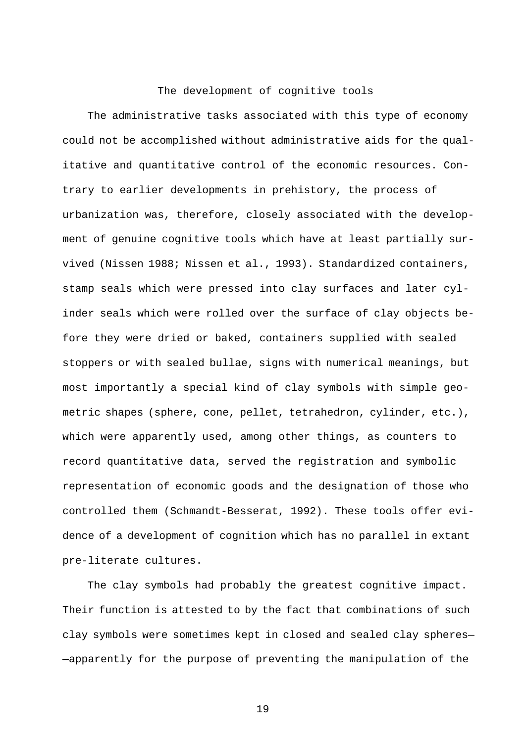## The development of cognitive tools

The administrative tasks associated with this type of economy could not be accomplished without administrative aids for the qualitative and quantitative control of the economic resources. Contrary to earlier developments in prehistory, the process of urbanization was, therefore, closely associated with the development of genuine cognitive tools which have at least partially survived (Nissen 1988; Nissen et al., 1993). Standardized containers, stamp seals which were pressed into clay surfaces and later cylinder seals which were rolled over the surface of clay objects before they were dried or baked, containers supplied with sealed stoppers or with sealed bullae, signs with numerical meanings, but most importantly a special kind of clay symbols with simple geometric shapes (sphere, cone, pellet, tetrahedron, cylinder, etc.), which were apparently used, among other things, as counters to record quantitative data, served the registration and symbolic representation of economic goods and the designation of those who controlled them (Schmandt-Besserat, 1992). These tools offer evidence of a development of cognition which has no parallel in extant pre-literate cultures.

The clay symbols had probably the greatest cognitive impact. Their function is attested to by the fact that combinations of such clay symbols were sometimes kept in closed and sealed clay spheres— —apparently for the purpose of preventing the manipulation of the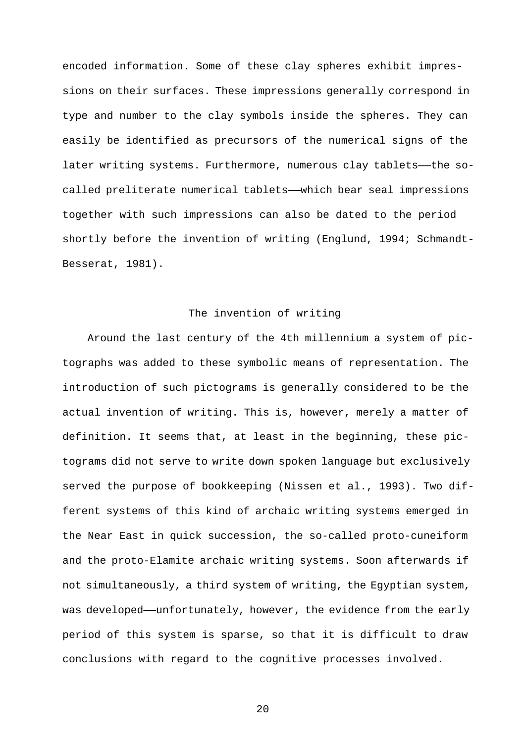encoded information. Some of these clay spheres exhibit impressions on their surfaces. These impressions generally correspond in type and number to the clay symbols inside the spheres. They can easily be identified as precursors of the numerical signs of the later writing systems. Furthermore, numerous clay tablets——the socalled preliterate numerical tablets——which bear seal impressions together with such impressions can also be dated to the period shortly before the invention of writing (Englund, 1994; Schmandt-Besserat, 1981).

## The invention of writing

Around the last century of the 4th millennium a system of pictographs was added to these symbolic means of representation. The introduction of such pictograms is generally considered to be the actual invention of writing. This is, however, merely a matter of definition. It seems that, at least in the beginning, these pictograms did not serve to write down spoken language but exclusively served the purpose of bookkeeping (Nissen et al., 1993). Two different systems of this kind of archaic writing systems emerged in the Near East in quick succession, the so-called proto-cuneiform and the proto-Elamite archaic writing systems. Soon afterwards if not simultaneously, a third system of writing, the Egyptian system, was developed—unfortunately, however, the evidence from the early period of this system is sparse, so that it is difficult to draw conclusions with regard to the cognitive processes involved.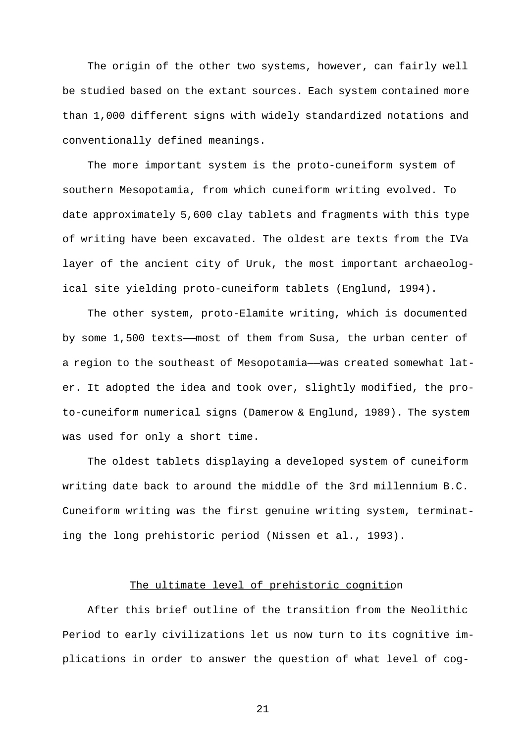The origin of the other two systems, however, can fairly well be studied based on the extant sources. Each system contained more than 1,000 different signs with widely standardized notations and conventionally defined meanings.

The more important system is the proto-cuneiform system of southern Mesopotamia, from which cuneiform writing evolved. To date approximately 5,600 clay tablets and fragments with this type of writing have been excavated. The oldest are texts from the IVa layer of the ancient city of Uruk, the most important archaeological site yielding proto-cuneiform tablets (Englund, 1994).

The other system, proto-Elamite writing, which is documented by some 1,500 texts——most of them from Susa, the urban center of a region to the southeast of Mesopotamia——was created somewhat later. It adopted the idea and took over, slightly modified, the proto-cuneiform numerical signs (Damerow & Englund, 1989). The system was used for only a short time.

The oldest tablets displaying a developed system of cuneiform writing date back to around the middle of the 3rd millennium B.C. Cuneiform writing was the first genuine writing system, terminating the long prehistoric period (Nissen et al., 1993).

### The ultimate level of prehistoric cognition

After this brief outline of the transition from the Neolithic Period to early civilizations let us now turn to its cognitive implications in order to answer the question of what level of cog-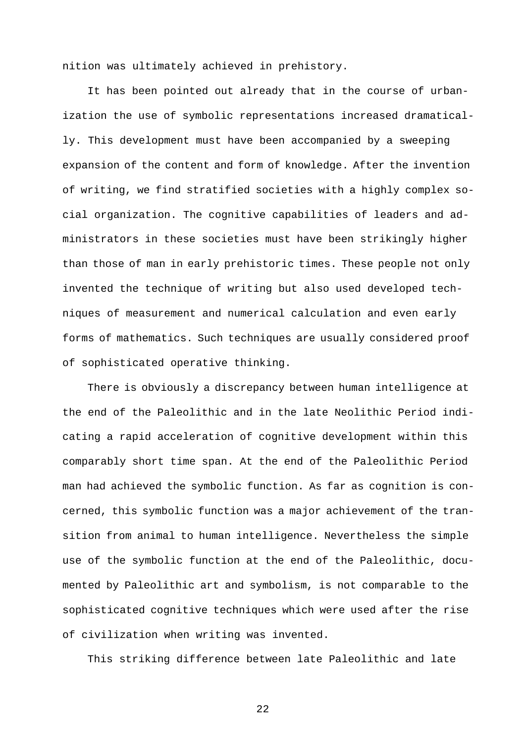nition was ultimately achieved in prehistory.

It has been pointed out already that in the course of urbanization the use of symbolic representations increased dramatically. This development must have been accompanied by a sweeping expansion of the content and form of knowledge. After the invention of writing, we find stratified societies with a highly complex social organization. The cognitive capabilities of leaders and administrators in these societies must have been strikingly higher than those of man in early prehistoric times. These people not only invented the technique of writing but also used developed techniques of measurement and numerical calculation and even early forms of mathematics. Such techniques are usually considered proof of sophisticated operative thinking.

There is obviously a discrepancy between human intelligence at the end of the Paleolithic and in the late Neolithic Period indicating a rapid acceleration of cognitive development within this comparably short time span. At the end of the Paleolithic Period man had achieved the symbolic function. As far as cognition is concerned, this symbolic function was a major achievement of the transition from animal to human intelligence. Nevertheless the simple use of the symbolic function at the end of the Paleolithic, documented by Paleolithic art and symbolism, is not comparable to the sophisticated cognitive techniques which were used after the rise of civilization when writing was invented.

This striking difference between late Paleolithic and late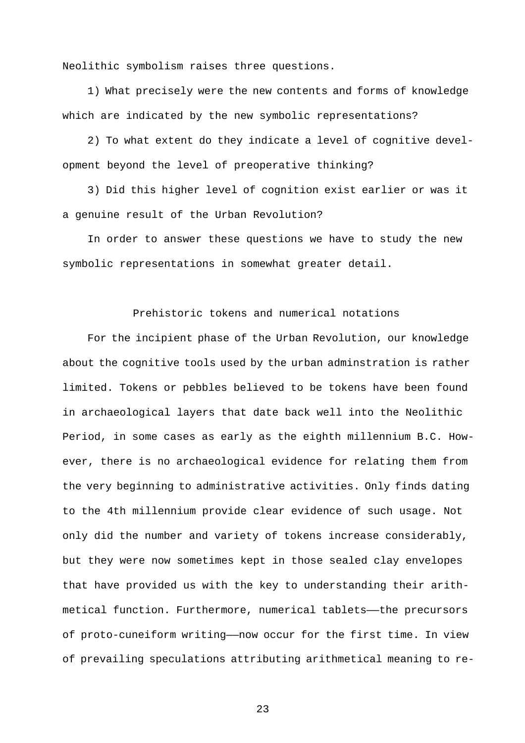Neolithic symbolism raises three questions.

1) What precisely were the new contents and forms of knowledge which are indicated by the new symbolic representations?

2) To what extent do they indicate a level of cognitive development beyond the level of preoperative thinking?

3) Did this higher level of cognition exist earlier or was it a genuine result of the Urban Revolution?

In order to answer these questions we have to study the new symbolic representations in somewhat greater detail.

## Prehistoric tokens and numerical notations

For the incipient phase of the Urban Revolution, our knowledge about the cognitive tools used by the urban adminstration is rather limited. Tokens or pebbles believed to be tokens have been found in archaeological layers that date back well into the Neolithic Period, in some cases as early as the eighth millennium B.C. However, there is no archaeological evidence for relating them from the very beginning to administrative activities. Only finds dating to the 4th millennium provide clear evidence of such usage. Not only did the number and variety of tokens increase considerably, but they were now sometimes kept in those sealed clay envelopes that have provided us with the key to understanding their arithmetical function. Furthermore, numerical tablets——the precursors of proto-cuneiform writing——now occur for the first time. In view of prevailing speculations attributing arithmetical meaning to re-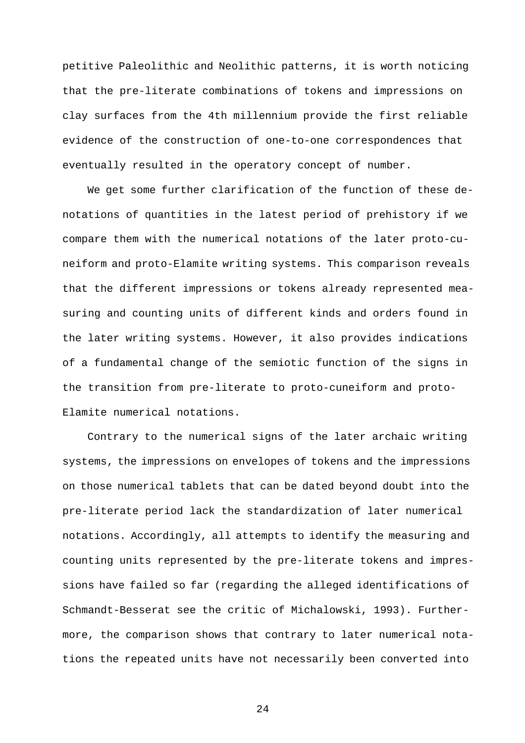petitive Paleolithic and Neolithic patterns, it is worth noticing that the pre-literate combinations of tokens and impressions on clay surfaces from the 4th millennium provide the first reliable evidence of the construction of one-to-one correspondences that eventually resulted in the operatory concept of number.

We get some further clarification of the function of these denotations of quantities in the latest period of prehistory if we compare them with the numerical notations of the later proto-cuneiform and proto-Elamite writing systems. This comparison reveals that the different impressions or tokens already represented measuring and counting units of different kinds and orders found in the later writing systems. However, it also provides indications of a fundamental change of the semiotic function of the signs in the transition from pre-literate to proto-cuneiform and proto-Elamite numerical notations.

Contrary to the numerical signs of the later archaic writing systems, the impressions on envelopes of tokens and the impressions on those numerical tablets that can be dated beyond doubt into the pre-literate period lack the standardization of later numerical notations. Accordingly, all attempts to identify the measuring and counting units represented by the pre-literate tokens and impressions have failed so far (regarding the alleged identifications of Schmandt-Besserat see the critic of Michalowski, 1993). Furthermore, the comparison shows that contrary to later numerical notations the repeated units have not necessarily been converted into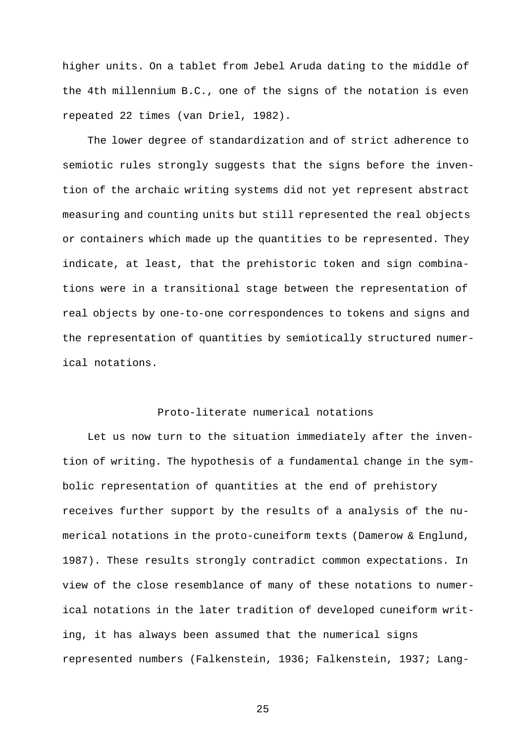higher units. On a tablet from Jebel Aruda dating to the middle of the 4th millennium B.C., one of the signs of the notation is even repeated 22 times (van Driel, 1982).

The lower degree of standardization and of strict adherence to semiotic rules strongly suggests that the signs before the invention of the archaic writing systems did not yet represent abstract measuring and counting units but still represented the real objects or containers which made up the quantities to be represented. They indicate, at least, that the prehistoric token and sign combinations were in a transitional stage between the representation of real objects by one-to-one correspondences to tokens and signs and the representation of quantities by semiotically structured numerical notations.

## Proto-literate numerical notations

Let us now turn to the situation immediately after the invention of writing. The hypothesis of a fundamental change in the symbolic representation of quantities at the end of prehistory receives further support by the results of a analysis of the numerical notations in the proto-cuneiform texts (Damerow & Englund, 1987). These results strongly contradict common expectations. In view of the close resemblance of many of these notations to numerical notations in the later tradition of developed cuneiform writing, it has always been assumed that the numerical signs represented numbers (Falkenstein, 1936; Falkenstein, 1937; Lang-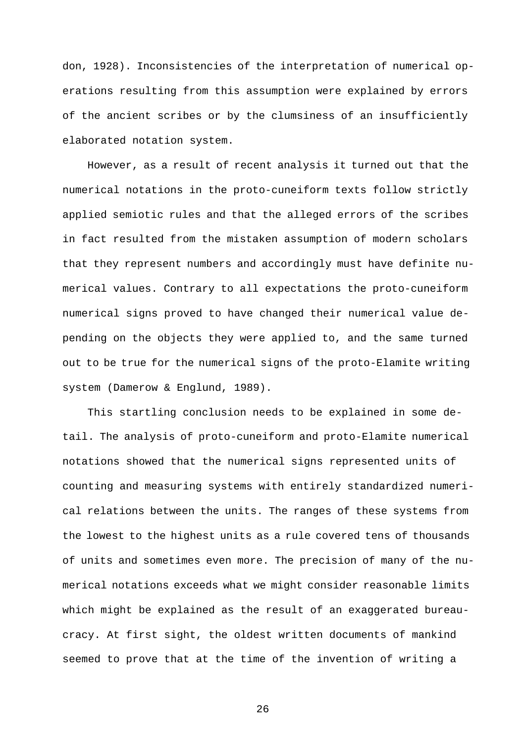don, 1928). Inconsistencies of the interpretation of numerical operations resulting from this assumption were explained by errors of the ancient scribes or by the clumsiness of an insufficiently elaborated notation system.

However, as a result of recent analysis it turned out that the numerical notations in the proto-cuneiform texts follow strictly applied semiotic rules and that the alleged errors of the scribes in fact resulted from the mistaken assumption of modern scholars that they represent numbers and accordingly must have definite numerical values. Contrary to all expectations the proto-cuneiform numerical signs proved to have changed their numerical value depending on the objects they were applied to, and the same turned out to be true for the numerical signs of the proto-Elamite writing system (Damerow & Englund, 1989).

This startling conclusion needs to be explained in some detail. The analysis of proto-cuneiform and proto-Elamite numerical notations showed that the numerical signs represented units of counting and measuring systems with entirely standardized numerical relations between the units. The ranges of these systems from the lowest to the highest units as a rule covered tens of thousands of units and sometimes even more. The precision of many of the numerical notations exceeds what we might consider reasonable limits which might be explained as the result of an exaggerated bureaucracy. At first sight, the oldest written documents of mankind seemed to prove that at the time of the invention of writing a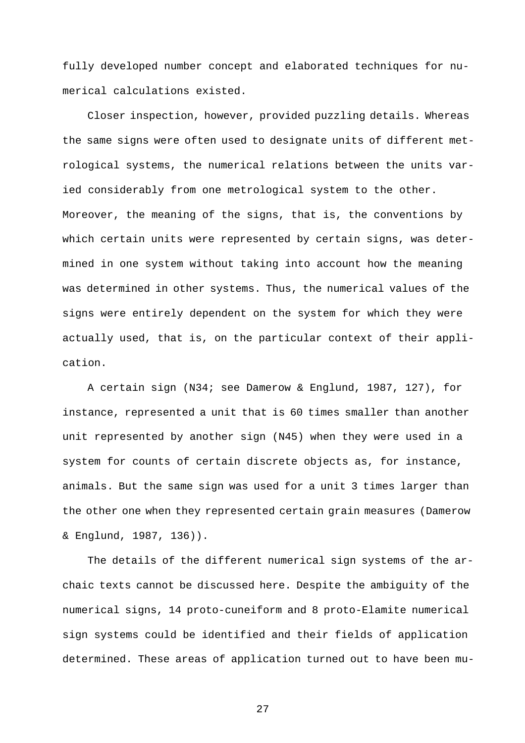fully developed number concept and elaborated techniques for numerical calculations existed.

Closer inspection, however, provided puzzling details. Whereas the same signs were often used to designate units of different metrological systems, the numerical relations between the units varied considerably from one metrological system to the other. Moreover, the meaning of the signs, that is, the conventions by which certain units were represented by certain signs, was determined in one system without taking into account how the meaning was determined in other systems. Thus, the numerical values of the signs were entirely dependent on the system for which they were actually used, that is, on the particular context of their application.

A certain sign (N34; see Damerow & Englund, 1987, 127), for instance, represented a unit that is 60 times smaller than another unit represented by another sign (N45) when they were used in a system for counts of certain discrete objects as, for instance, animals. But the same sign was used for a unit 3 times larger than the other one when they represented certain grain measures (Damerow & Englund, 1987, 136)).

The details of the different numerical sign systems of the archaic texts cannot be discussed here. Despite the ambiguity of the numerical signs, 14 proto-cuneiform and 8 proto-Elamite numerical sign systems could be identified and their fields of application determined. These areas of application turned out to have been mu-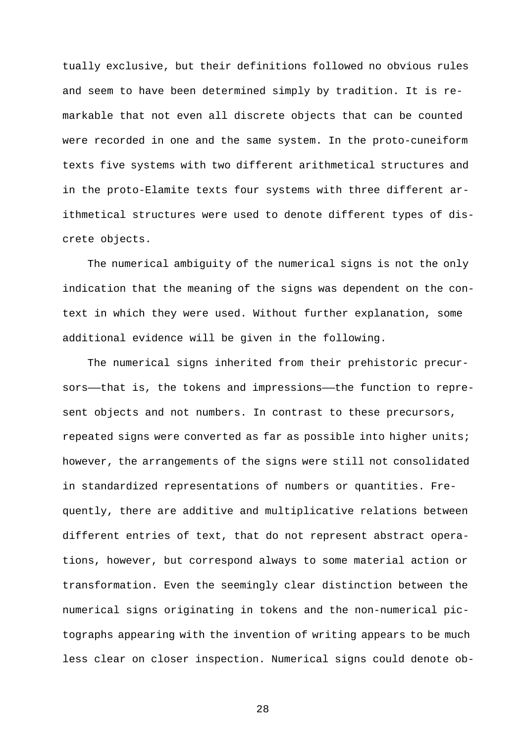tually exclusive, but their definitions followed no obvious rules and seem to have been determined simply by tradition. It is remarkable that not even all discrete objects that can be counted were recorded in one and the same system. In the proto-cuneiform texts five systems with two different arithmetical structures and in the proto-Elamite texts four systems with three different arithmetical structures were used to denote different types of discrete objects.

The numerical ambiguity of the numerical signs is not the only indication that the meaning of the signs was dependent on the context in which they were used. Without further explanation, some additional evidence will be given in the following.

The numerical signs inherited from their prehistoric precursors--that is, the tokens and impressions--the function to represent objects and not numbers. In contrast to these precursors, repeated signs were converted as far as possible into higher units; however, the arrangements of the signs were still not consolidated in standardized representations of numbers or quantities. Frequently, there are additive and multiplicative relations between different entries of text, that do not represent abstract operations, however, but correspond always to some material action or transformation. Even the seemingly clear distinction between the numerical signs originating in tokens and the non-numerical pictographs appearing with the invention of writing appears to be much less clear on closer inspection. Numerical signs could denote ob-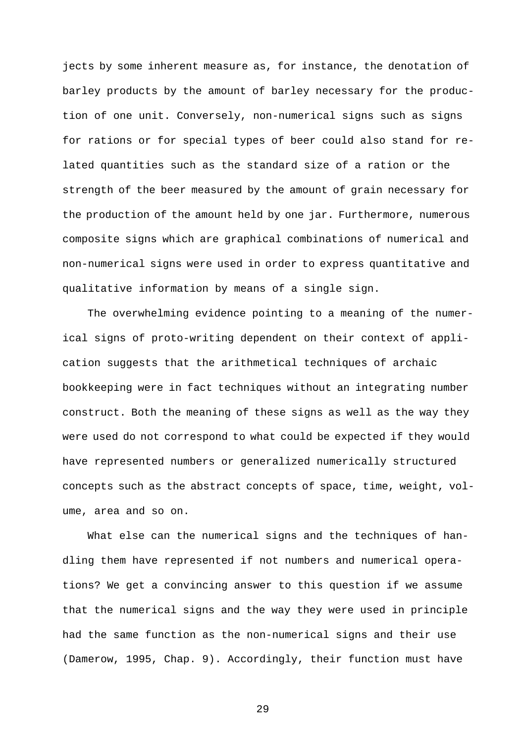jects by some inherent measure as, for instance, the denotation of barley products by the amount of barley necessary for the production of one unit. Conversely, non-numerical signs such as signs for rations or for special types of beer could also stand for related quantities such as the standard size of a ration or the strength of the beer measured by the amount of grain necessary for the production of the amount held by one jar. Furthermore, numerous composite signs which are graphical combinations of numerical and non-numerical signs were used in order to express quantitative and qualitative information by means of a single sign.

The overwhelming evidence pointing to a meaning of the numerical signs of proto-writing dependent on their context of application suggests that the arithmetical techniques of archaic bookkeeping were in fact techniques without an integrating number construct. Both the meaning of these signs as well as the way they were used do not correspond to what could be expected if they would have represented numbers or generalized numerically structured concepts such as the abstract concepts of space, time, weight, volume, area and so on.

What else can the numerical signs and the techniques of handling them have represented if not numbers and numerical operations? We get a convincing answer to this question if we assume that the numerical signs and the way they were used in principle had the same function as the non-numerical signs and their use (Damerow, 1995, Chap. 9). Accordingly, their function must have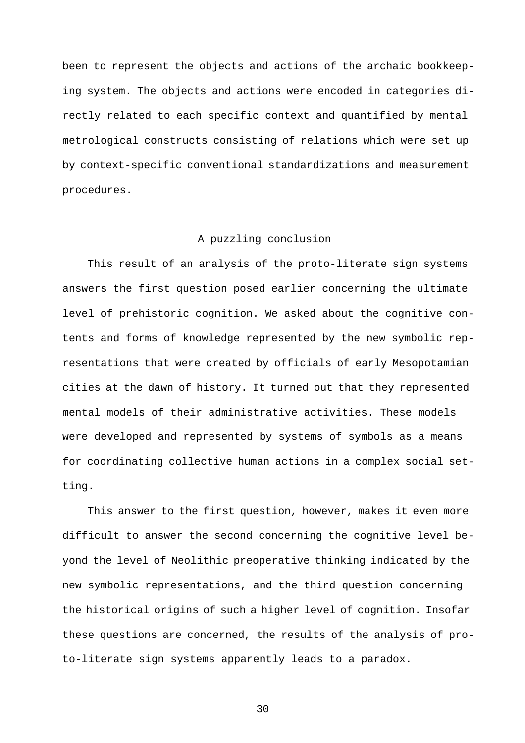been to represent the objects and actions of the archaic bookkeeping system. The objects and actions were encoded in categories directly related to each specific context and quantified by mental metrological constructs consisting of relations which were set up by context-specific conventional standardizations and measurement procedures.

#### A puzzling conclusion

This result of an analysis of the proto-literate sign systems answers the first question posed earlier concerning the ultimate level of prehistoric cognition. We asked about the cognitive contents and forms of knowledge represented by the new symbolic representations that were created by officials of early Mesopotamian cities at the dawn of history. It turned out that they represented mental models of their administrative activities. These models were developed and represented by systems of symbols as a means for coordinating collective human actions in a complex social setting.

This answer to the first question, however, makes it even more difficult to answer the second concerning the cognitive level beyond the level of Neolithic preoperative thinking indicated by the new symbolic representations, and the third question concerning the historical origins of such a higher level of cognition. Insofar these questions are concerned, the results of the analysis of proto-literate sign systems apparently leads to a paradox.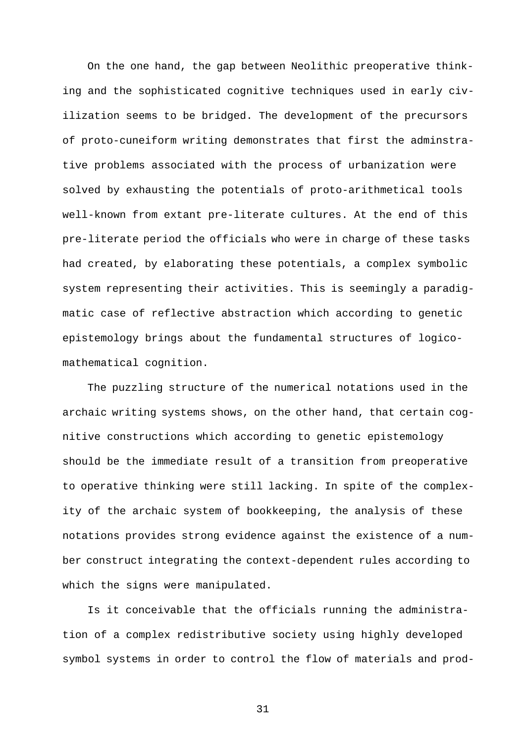On the one hand, the gap between Neolithic preoperative thinking and the sophisticated cognitive techniques used in early civilization seems to be bridged. The development of the precursors of proto-cuneiform writing demonstrates that first the adminstrative problems associated with the process of urbanization were solved by exhausting the potentials of proto-arithmetical tools well-known from extant pre-literate cultures. At the end of this pre-literate period the officials who were in charge of these tasks had created, by elaborating these potentials, a complex symbolic system representing their activities. This is seemingly a paradigmatic case of reflective abstraction which according to genetic epistemology brings about the fundamental structures of logicomathematical cognition.

The puzzling structure of the numerical notations used in the archaic writing systems shows, on the other hand, that certain cognitive constructions which according to genetic epistemology should be the immediate result of a transition from preoperative to operative thinking were still lacking. In spite of the complexity of the archaic system of bookkeeping, the analysis of these notations provides strong evidence against the existence of a number construct integrating the context-dependent rules according to which the signs were manipulated.

Is it conceivable that the officials running the administration of a complex redistributive society using highly developed symbol systems in order to control the flow of materials and prod-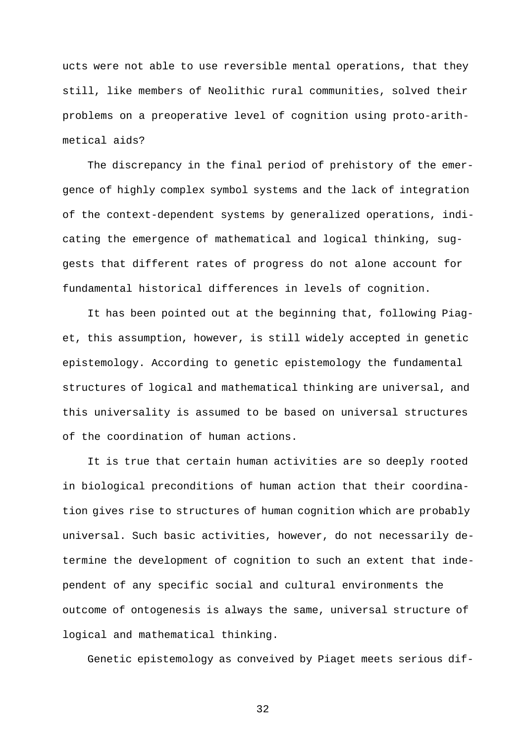ucts were not able to use reversible mental operations, that they still, like members of Neolithic rural communities, solved their problems on a preoperative level of cognition using proto-arithmetical aids?

The discrepancy in the final period of prehistory of the emergence of highly complex symbol systems and the lack of integration of the context-dependent systems by generalized operations, indicating the emergence of mathematical and logical thinking, suggests that different rates of progress do not alone account for fundamental historical differences in levels of cognition.

It has been pointed out at the beginning that, following Piaget, this assumption, however, is still widely accepted in genetic epistemology. According to genetic epistemology the fundamental structures of logical and mathematical thinking are universal, and this universality is assumed to be based on universal structures of the coordination of human actions.

It is true that certain human activities are so deeply rooted in biological preconditions of human action that their coordination gives rise to structures of human cognition which are probably universal. Such basic activities, however, do not necessarily determine the development of cognition to such an extent that independent of any specific social and cultural environments the outcome of ontogenesis is always the same, universal structure of logical and mathematical thinking.

Genetic epistemology as conveived by Piaget meets serious dif-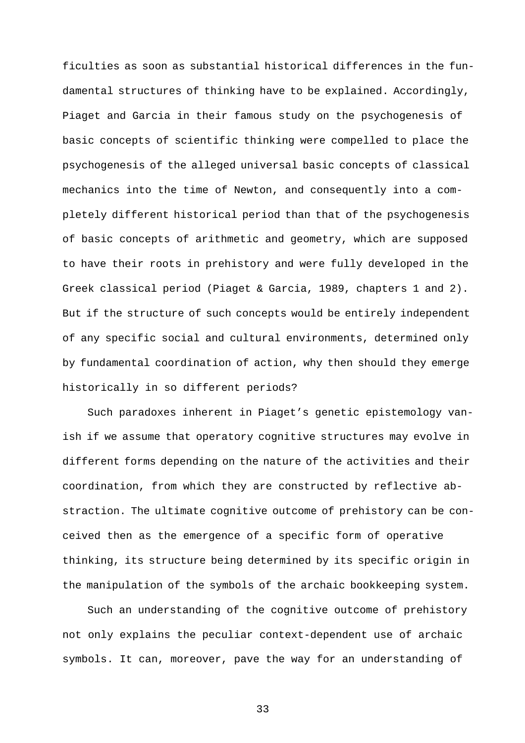ficulties as soon as substantial historical differences in the fundamental structures of thinking have to be explained. Accordingly, Piaget and Garcia in their famous study on the psychogenesis of basic concepts of scientific thinking were compelled to place the psychogenesis of the alleged universal basic concepts of classical mechanics into the time of Newton, and consequently into a completely different historical period than that of the psychogenesis of basic concepts of arithmetic and geometry, which are supposed to have their roots in prehistory and were fully developed in the Greek classical period (Piaget & Garcia, 1989, chapters 1 and 2). But if the structure of such concepts would be entirely independent of any specific social and cultural environments, determined only by fundamental coordination of action, why then should they emerge historically in so different periods?

Such paradoxes inherent in Piaget's genetic epistemology vanish if we assume that operatory cognitive structures may evolve in different forms depending on the nature of the activities and their coordination, from which they are constructed by reflective abstraction. The ultimate cognitive outcome of prehistory can be conceived then as the emergence of a specific form of operative thinking, its structure being determined by its specific origin in the manipulation of the symbols of the archaic bookkeeping system.

Such an understanding of the cognitive outcome of prehistory not only explains the peculiar context-dependent use of archaic symbols. It can, moreover, pave the way for an understanding of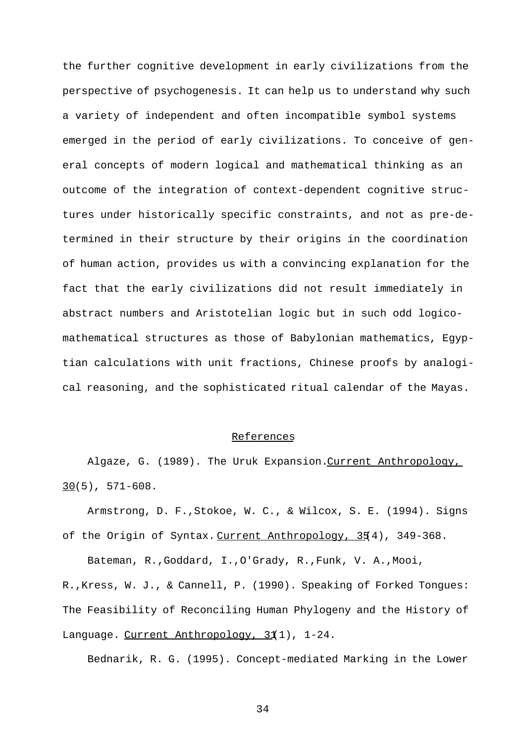the further cognitive development in early civilizations from the perspective of psychogenesis. It can help us to understand why such a variety of independent and often incompatible symbol systems emerged in the period of early civilizations. To conceive of general concepts of modern logical and mathematical thinking as an outcome of the integration of context-dependent cognitive structures under historically specific constraints, and not as pre-determined in their structure by their origins in the coordination of human action, provides us with a convincing explanation for the fact that the early civilizations did not result immediately in abstract numbers and Aristotelian logic but in such odd logicomathematical structures as those of Babylonian mathematics, Egyptian calculations with unit fractions, Chinese proofs by analogical reasoning, and the sophisticated ritual calendar of the Mayas.

#### References

Algaze, G. (1989). The Uruk Expansion. Current Anthropology,  $30(5)$ , 571-608.

Armstrong, D. F.,Stokoe, W. C., & Wilcox, S. E. (1994). Signs of the Origin of Syntax. Current Anthropology, 354), 349-368.

Bateman, R.,Goddard, I.,O'Grady, R.,Funk, V. A.,Mooi,

R.,Kress, W. J., & Cannell, P. (1990). Speaking of Forked Tongues: The Feasibility of Reconciling Human Phylogeny and the History of Language. Current Anthropology, 31(1), 1-24.

Bednarik, R. G. (1995). Concept-mediated Marking in the Lower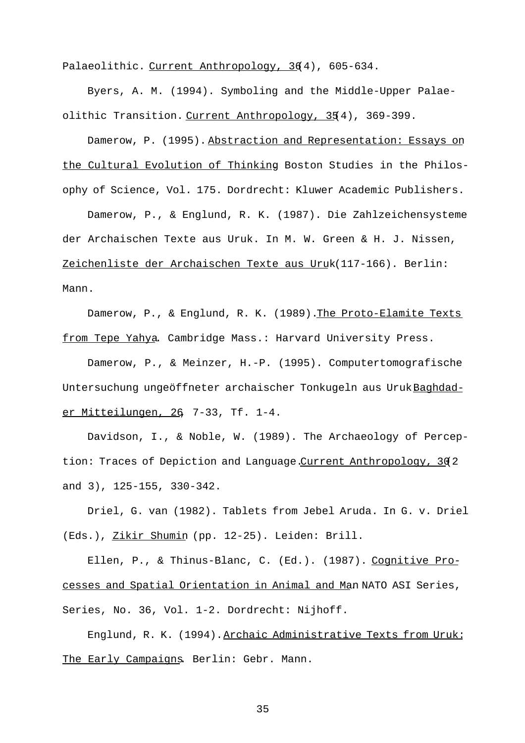Palaeolithic. Current Anthropology, 364), 605-634.

Byers, A. M. (1994). Symboling and the Middle-Upper Palaeolithic Transition. Current Anthropology, 35(4), 369-399.

Damerow, P. (1995). Abstraction and Representation: Essays on the Cultural Evolution of Thinking. Boston Studies in the Philosophy of Science, Vol. 175. Dordrecht: Kluwer Academic Publishers.

Damerow, P., & Englund, R. K. (1987). Die Zahlzeichensysteme der Archaischen Texte aus Uruk. In M. W. Green & H. J. Nissen, Zeichenliste der Archaischen Texte aus Uruk (117-166). Berlin: Mann.

Damerow, P., & Englund, R. K. (1989). The Proto-Elamite Texts from Tepe Yahya. Cambridge Mass.: Harvard University Press.

Damerow, P., & Meinzer, H.-P. (1995). Computertomografische Untersuchung ungeöffneter archaischer Tonkugeln aus UrukBaghdader Mitteilungen, 26, 7-33, Tf. 1-4.

Davidson, I., & Noble, W. (1989). The Archaeology of Perception: Traces of Depiction and Language. Current Anthropology, 302 and 3), 125-155, 330-342.

Driel, G. van (1982). Tablets from Jebel Aruda. In G. v. Driel (Eds.), Zikir Shumin (pp. 12-25). Leiden: Brill.

Ellen, P., & Thinus-Blanc, C. (Ed.). (1987). Cognitive Processes and Spatial Orientation in Animal and Man. NATO ASI Series, Series, No. 36, Vol. 1-2. Dordrecht: Nijhoff.

Englund, R. K. (1994). Archaic Administrative Texts from Uruk: The Early Campaigns. Berlin: Gebr. Mann.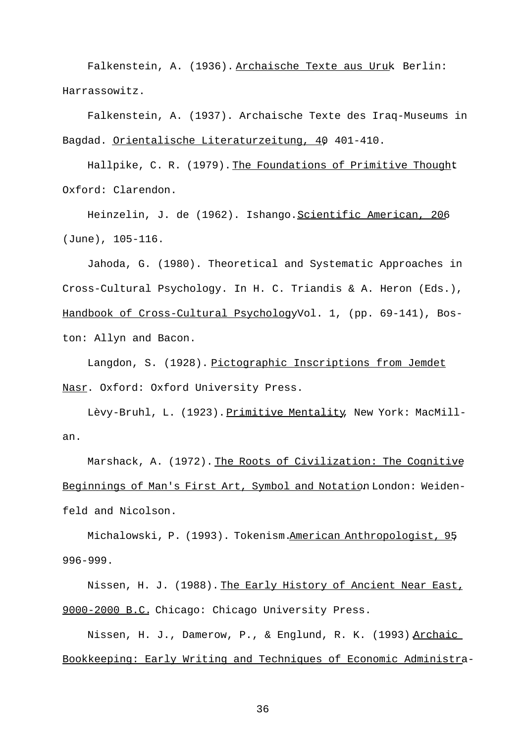Falkenstein, A. (1936). Archaische Texte aus Uruk. Berlin: Harrassowitz.

Falkenstein, A. (1937). Archaische Texte des Iraq-Museums in Bagdad. Orientalische Literaturzeitung, 40, 401-410.

Hallpike, C. R. (1979). The Foundations of Primitive Thought Oxford: Clarendon.

Heinzelin, J. de (1962). Ishango. Scientific American, 206 (June), 105-116.

Jahoda, G. (1980). Theoretical and Systematic Approaches in Cross-Cultural Psychology. In H. C. Triandis & A. Heron (Eds.), Handbook of Cross-Cultural Psychology Vol. 1, (pp. 69-141), Boston: Allyn and Bacon.

Langdon, S. (1928). Pictographic Inscriptions from Jemdet Nasr. Oxford: Oxford University Press.

Lèvy-Bruhl, L. (1923). Primitive Mentality, New York: MacMillan.

Marshack, A. (1972). The Roots of Civilization: The Cognitive Beginnings of Man's First Art, Symbol and Notation London: Weidenfeld and Nicolson.

Michalowski, P. (1993). Tokenism. American Anthropologist, 95, 996-999.

Nissen, H. J. (1988). The Early History of Ancient Near East, 9000-2000 B.C. Chicago: Chicago University Press.

Nissen, H. J., Damerow, P., & Englund, R. K. (1993) Archaic Bookkeeping: Early Writing and Techniques of Economic Administra